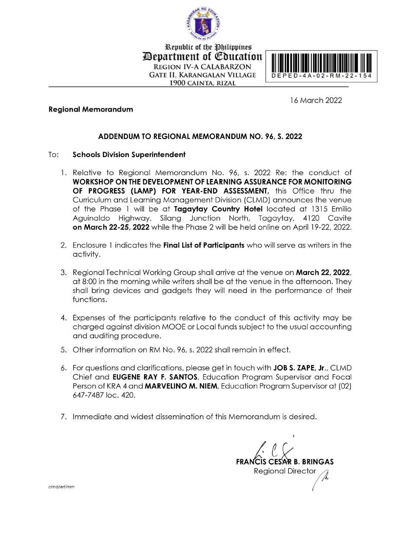

Republic of the Philippines *Pepartment of Education* **REGION IV-A CALABARZON GATE II, KARANGALAN VILLAGE** 1900 CAINTA, RIZAL



16 March 2022

## **Regional Memorandum**

## ADDENDUM TO REGIONAL MEMORANDUM NO. 96, S. 2022

#### To: **Schools Division Superintendent**

- 1. Relative to Regional Memorandum No. 96, s. 2022 Re: the conduct of WORKSHOP ON THE DEVELOPMENT OF LEARNING ASSURANCE FOR MONITORING OF PROGRESS (LAMP) FOR YEAR-END ASSESSMENT, this Office thru the Curriculum and Learning Management Division (CLMD) announces the venue of the Phase 1 will be at Tagaytay Country Hotel located at 1315 Emilio Aguinaldo Highway, Silang Junction North, Tagaytay, 4120 Cavite on March 22-25, 2022 while the Phase 2 will be held online on April 19-22, 2022.
- 2. Enclosure 1 indicates the Final List of Participants who will serve as writers in the activity.
- 3. Regional Technical Working Group shall arrive at the venue on March 22, 2022, at 8:00 in the morning while writers shall be at the venue in the afternoon. They shall bring devices and gadgets they will need in the performance of their functions.
- 4. Expenses of the participants relative to the conduct of this activity may be charged against division MOOE or Local funds subject to the usual accounting and auditing procedure.
- 5. Other information on RM No. 96, s. 2022 shall remain in effect.
- 6. For questions and clarifications, please get in touch with JOB S. ZAPE, Jr., CLMD Chief and EUGENE RAY F. SANTOS, Education Program Supervisor and Focal Person of KRA 4 and MARVELINO M. NIEM, Education Program Supervisor at (02) 647-7487 loc. 420.
- 7. Immediate and widest dissemination of this Memorandum is desired.

**FRANCIS CESAR B. BRINGAS Regional Director** 

clmd/erf/mm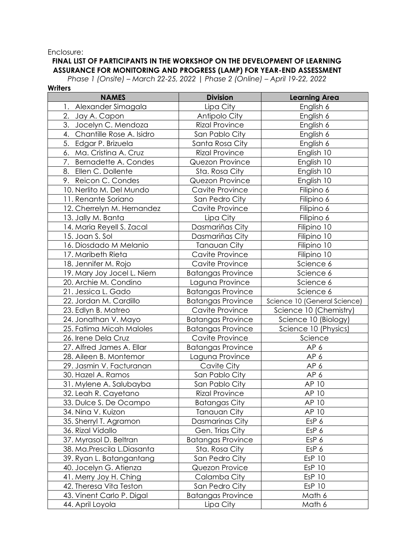### Enclosure:

## **FINAL LIST OF PARTICIPANTS IN THE WORKSHOP ON THE DEVELOPMENT OF LEARNING ASSURANCE FOR MONITORING AND PROGRESS (LAMP) FOR YEAR-END ASSESSMENT**

*Phase 1 (Onsite) – March 22-25, 2022 | Phase 2 (Online) – April 19-22, 2022*

| <b>Writers</b>                    |                          |                              |
|-----------------------------------|--------------------------|------------------------------|
| <b>NAMES</b>                      | <b>Division</b>          | <b>Learning Area</b>         |
| 1. Alexander Simagala             | Lipa City                | English 6                    |
| 2.<br>Jay A. Capon                | Antipolo City            | English 6                    |
| 3.<br>Jocelyn C. Mendoza          | <b>Rizal Province</b>    | English 6                    |
| 4.<br>Chantille Rose A. Isidro    | San Pablo City           | English 6                    |
| 5. Edgar P. Brizuela              | Santa Rosa City          | English 6                    |
| 6. Ma. Cristina A. Cruz           | <b>Rizal Province</b>    | English 10                   |
| 7.<br><b>Bernadette A. Condes</b> | Quezon Province          | English 10                   |
| 8. Ellen C. Dollente              | Sta. Rosa City           | English 10                   |
| 9. Reicon C. Condes               | Quezon Province          | English 10                   |
| 10. Nerlito M. Del Mundo          | Cavite Province          | Filipino 6                   |
| 11. Renante Soriano               | San Pedro City           | Filipino 6                   |
| 12. Cherrelyn M. Hernandez        | Cavite Province          | Filipino 6                   |
| 13. Jally M. Banta                | Lipa City                | Filipino 6                   |
| 14. Maria Reyell S. Zacal         | Dasmariñas City          | Filipino 10                  |
| 15. Joan S. Sol                   | Dasmariñas City          | Filipino 10                  |
| 16. Diosdado M Melanio            | <b>Tanauan City</b>      | Filipino 10                  |
| 17. Maribeth Rieta                | Cavite Province          | Filipino 10                  |
| 18. Jennifer M. Rojo              | Cavite Province          | Science 6                    |
| 19. Mary Joy Jocel L. Niem        | <b>Batangas Province</b> | Science 6                    |
| 20. Archie M. Condino             | Laguna Province          | Science 6                    |
| 21. Jessica L. Gado               | <b>Batangas Province</b> | Science 6                    |
| 22. Jordan M. Cardillo            | <b>Batangas Province</b> | Science 10 (General Science) |
| 23. Edlyn B. Matreo               | Cavite Province          | Science 10 (Chemistry)       |
| 24. Jonathan V. Mayo              | <b>Batangas Province</b> | Science 10 (Biology)         |
| 25. Fatima Micah Maloles          | <b>Batangas Province</b> | Science 10 (Physics)         |
| 26. Irene Dela Cruz               | Cavite Province          | Science                      |
| 27. Alfred James A. Ellar         | <b>Batangas Province</b> | AP 6                         |
| 28. Aileen B. Montemor            | Laguna Province          | AP 6                         |
| 29. Jasmin V. Facturanan          | Cavite City              | AP 6                         |
| 30. Hazel A. Ramos                | San Pablo City           | AP 6                         |
| 31. Mylene A. Salubayba           | San Pablo City           | AP 10                        |
| 32. Leah R. Cayetano              | <b>Rizal Province</b>    | AP 10                        |
| 33. Dulce S. De Ocampo            | <b>Batangas City</b>     | AP 10                        |
| 34. Nina V. Kuizon                | <b>Tanauan City</b>      | AP 10                        |
| 35. Sherryl T. Agramon            | Dasmarinas City          | EsP 6                        |
| 36. Rizal Vidallo                 | Gen. Trias City          | EsP 6                        |
| 37. Myrasol D. Beltran            | <b>Batangas Province</b> | EsP 6                        |
| 38. Ma.Prescila L.Diasanta        | Sta. Rosa City           | EsP 6                        |
| 39. Ryan L. Batangantang          | San Pedro City           | <b>EsP 10</b>                |
| 40. Jocelyn G. Atienza            | Quezon Provice           | <b>EsP 10</b>                |
| 41. Merry Joy H. Ching            | Calamba City             | <b>EsP 10</b>                |
| 42. Theresa Vita Teston           | San Pedro City           | <b>EsP 10</b>                |
| 43. Vinent Carlo P. Digal         | <b>Batangas Province</b> | Math 6                       |
| 44. April Loyola                  | Lipa City                | Math 6                       |